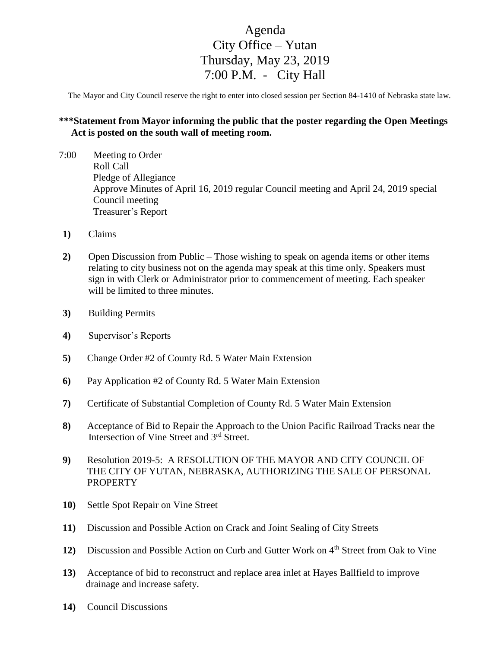## Agenda City Office – Yutan Thursday, May 23, 2019 7:00 P.M. - City Hall

The Mayor and City Council reserve the right to enter into closed session per Section 84-1410 of Nebraska state law.

## **\*\*\*Statement from Mayor informing the public that the poster regarding the Open Meetings Act is posted on the south wall of meeting room.**

- 7:00 Meeting to Order Roll Call Pledge of Allegiance Approve Minutes of April 16, 2019 regular Council meeting and April 24, 2019 special Council meeting Treasurer's Report
- **1)** Claims
- **2)** Open Discussion from Public Those wishing to speak on agenda items or other items relating to city business not on the agenda may speak at this time only. Speakers must sign in with Clerk or Administrator prior to commencement of meeting. Each speaker will be limited to three minutes.
- **3)** Building Permits
- **4)** Supervisor's Reports
- **5)** Change Order #2 of County Rd. 5 Water Main Extension
- **6)** Pay Application #2 of County Rd. 5 Water Main Extension
- **7)** Certificate of Substantial Completion of County Rd. 5 Water Main Extension
- **8)** Acceptance of Bid to Repair the Approach to the Union Pacific Railroad Tracks near the Intersection of Vine Street and 3<sup>rd</sup> Street.
- **9)** Resolution 2019-5: A RESOLUTION OF THE MAYOR AND CITY COUNCIL OF THE CITY OF YUTAN, NEBRASKA, AUTHORIZING THE SALE OF PERSONAL PROPERTY
- **10)** Settle Spot Repair on Vine Street
- **11)** Discussion and Possible Action on Crack and Joint Sealing of City Streets
- **12)** Discussion and Possible Action on Curb and Gutter Work on 4<sup>th</sup> Street from Oak to Vine
- **13)** Acceptance of bid to reconstruct and replace area inlet at Hayes Ballfield to improve drainage and increase safety.
- **14)** Council Discussions